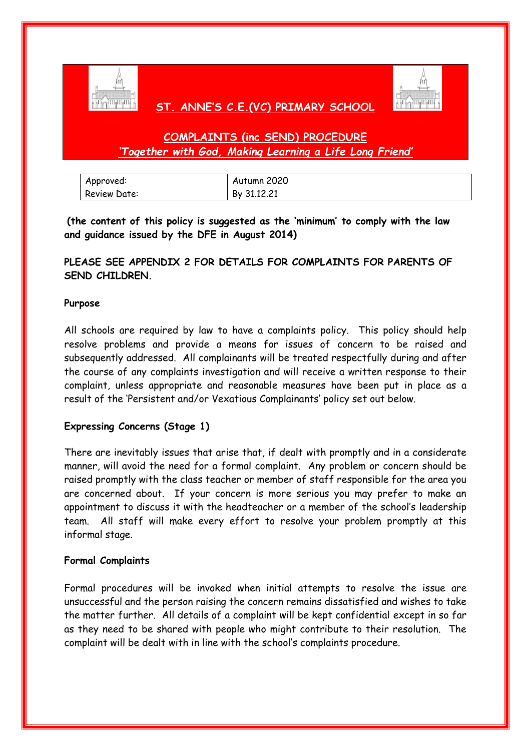

## **ST. ANNE'S C.E.(VC) PRIMARY SCHOOL**



# **COMPLAINTS (inc SEND) PROCEDURE**  *'Together with God, Making Learning a Life Long Friend'*

| Approved:    | Autumn 2020 |
|--------------|-------------|
| Review Date: | By 31.12.21 |

**(the content of this policy is suggested as the 'minimum' to comply with the law and guidance issued by the DFE in August 2014)** 

## **PLEASE SEE APPENDIX 2 FOR DETAILS FOR COMPLAINTS FOR PARENTS OF SEND CHILDREN.**

### **Purpose**

All schools are required by law to have a complaints policy. This policy should help resolve problems and provide a means for issues of concern to be raised and subsequently addressed. All complainants will be treated respectfully during and after the course of any complaints investigation and will receive a written response to their complaint, unless appropriate and reasonable measures have been put in place as a result of the 'Persistent and/or Vexatious Complainants' policy set out below.

## **Expressing Concerns (Stage 1)**

There are inevitably issues that arise that, if dealt with promptly and in a considerate manner, will avoid the need for a formal complaint. Any problem or concern should be raised promptly with the class teacher or member of staff responsible for the area you are concerned about. If your concern is more serious you may prefer to make an appointment to discuss it with the headteacher or a member of the school's leadership team. All staff will make every effort to resolve your problem promptly at this informal stage.

#### **Formal Complaints**

Formal procedures will be invoked when initial attempts to resolve the issue are unsuccessful and the person raising the concern remains dissatisfied and wishes to take the matter further. All details of a complaint will be kept confidential except in so far as they need to be shared with people who might contribute to their resolution. The complaint will be dealt with in line with the school's complaints procedure.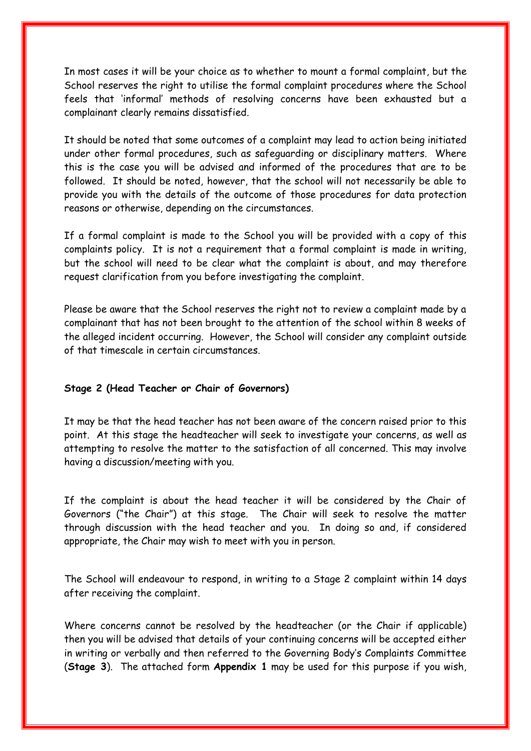In most cases it will be your choice as to whether to mount a formal complaint, but the School reserves the right to utilise the formal complaint procedures where the School feels that 'informal' methods of resolving concerns have been exhausted but a complainant clearly remains dissatisfied.

It should be noted that some outcomes of a complaint may lead to action being initiated under other formal procedures, such as safeguarding or disciplinary matters. Where this is the case you will be advised and informed of the procedures that are to be followed. It should be noted, however, that the school will not necessarily be able to provide you with the details of the outcome of those procedures for data protection reasons or otherwise, depending on the circumstances.

If a formal complaint is made to the School you will be provided with a copy of this complaints policy. It is not a requirement that a formal complaint is made in writing, but the school will need to be clear what the complaint is about, and may therefore request clarification from you before investigating the complaint.

Please be aware that the School reserves the right not to review a complaint made by a complainant that has not been brought to the attention of the school within 8 weeks of the alleged incident occurring. However, the School will consider any complaint outside of that timescale in certain circumstances.

#### **Stage 2 (Head Teacher or Chair of Governors)**

It may be that the head teacher has not been aware of the concern raised prior to this point. At this stage the headteacher will seek to investigate your concerns, as well as attempting to resolve the matter to the satisfaction of all concerned. This may involve having a discussion/meeting with you.

If the complaint is about the head teacher it will be considered by the Chair of Governors ("the Chair") at this stage. The Chair will seek to resolve the matter through discussion with the head teacher and you. In doing so and, if considered appropriate, the Chair may wish to meet with you in person.

The School will endeavour to respond, in writing to a Stage 2 complaint within 14 days after receiving the complaint.

Where concerns cannot be resolved by the headteacher (or the Chair if applicable) then you will be advised that details of your continuing concerns will be accepted either in writing or verbally and then referred to the Governing Body's Complaints Committee (**Stage 3**). The attached form **Appendix 1** may be used for this purpose if you wish,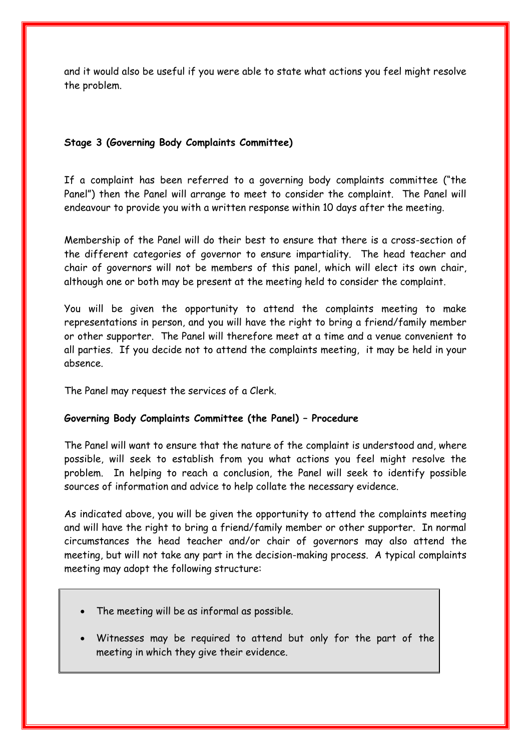and it would also be useful if you were able to state what actions you feel might resolve the problem.

### **Stage 3 (Governing Body Complaints Committee)**

If a complaint has been referred to a governing body complaints committee ("the Panel") then the Panel will arrange to meet to consider the complaint. The Panel will endeavour to provide you with a written response within 10 days after the meeting.

Membership of the Panel will do their best to ensure that there is a cross-section of the different categories of governor to ensure impartiality. The head teacher and chair of governors will not be members of this panel, which will elect its own chair, although one or both may be present at the meeting held to consider the complaint.

You will be given the opportunity to attend the complaints meeting to make representations in person, and you will have the right to bring a friend/family member or other supporter. The Panel will therefore meet at a time and a venue convenient to all parties. If you decide not to attend the complaints meeting, it may be held in your absence.

The Panel may request the services of a Clerk.

## **Governing Body Complaints Committee (the Panel) – Procedure**

The Panel will want to ensure that the nature of the complaint is understood and, where possible, will seek to establish from you what actions you feel might resolve the problem. In helping to reach a conclusion, the Panel will seek to identify possible sources of information and advice to help collate the necessary evidence.

As indicated above, you will be given the opportunity to attend the complaints meeting and will have the right to bring a friend/family member or other supporter. In normal circumstances the head teacher and/or chair of governors may also attend the meeting, but will not take any part in the decision-making process. A typical complaints meeting may adopt the following structure:

- The meeting will be as informal as possible.
- Witnesses may be required to attend but only for the part of the meeting in which they give their evidence.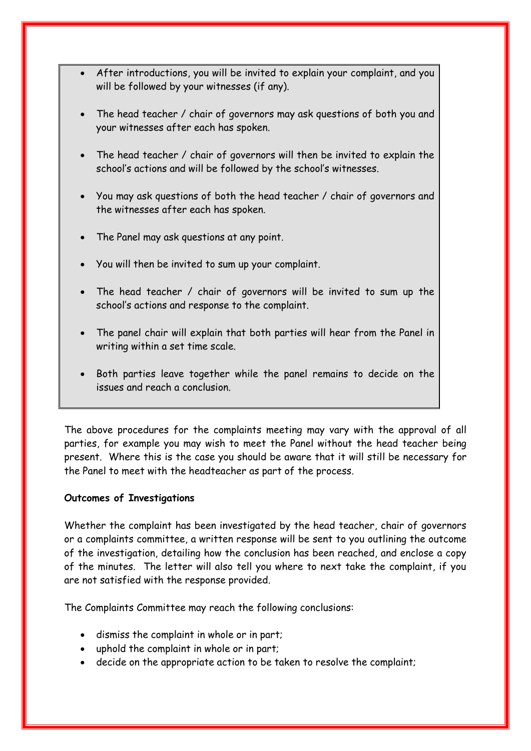- After introductions, you will be invited to explain your complaint, and you will be followed by your witnesses (if any).
- The head teacher / chair of governors may ask questions of both you and your witnesses after each has spoken.
- The head teacher / chair of governors will then be invited to explain the school's actions and will be followed by the school's witnesses.
- You may ask questions of both the head teacher / chair of governors and the witnesses after each has spoken.
- The Panel may ask questions at any point.
- You will then be invited to sum up your complaint.
- The head teacher / chair of governors will be invited to sum up the school's actions and response to the complaint.
- The panel chair will explain that both parties will hear from the Panel in writing within a set time scale.
- Both parties leave together while the panel remains to decide on the issues and reach a conclusion.

The above procedures for the complaints meeting may vary with the approval of all parties, for example you may wish to meet the Panel without the head teacher being present. Where this is the case you should be aware that it will still be necessary for the Panel to meet with the headteacher as part of the process.

## **Outcomes of Investigations**

Whether the complaint has been investigated by the head teacher, chair of governors or a complaints committee, a written response will be sent to you outlining the outcome of the investigation, detailing how the conclusion has been reached, and enclose a copy of the minutes. The letter will also tell you where to next take the complaint, if you are not satisfied with the response provided.

The Complaints Committee may reach the following conclusions:

- dismiss the complaint in whole or in part;
- uphold the complaint in whole or in part;
- decide on the appropriate action to be taken to resolve the complaint;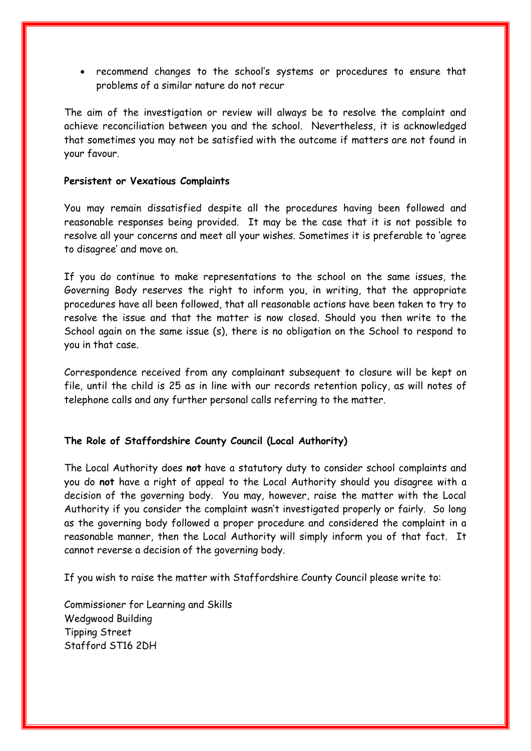recommend changes to the school's systems or procedures to ensure that problems of a similar nature do not recur

The aim of the investigation or review will always be to resolve the complaint and achieve reconciliation between you and the school. Nevertheless, it is acknowledged that sometimes you may not be satisfied with the outcome if matters are not found in your favour.

#### **Persistent or Vexatious Complaints**

You may remain dissatisfied despite all the procedures having been followed and reasonable responses being provided. It may be the case that it is not possible to resolve all your concerns and meet all your wishes. Sometimes it is preferable to 'agree to disagree' and move on.

If you do continue to make representations to the school on the same issues, the Governing Body reserves the right to inform you, in writing, that the appropriate procedures have all been followed, that all reasonable actions have been taken to try to resolve the issue and that the matter is now closed. Should you then write to the School again on the same issue (s), there is no obligation on the School to respond to you in that case.

Correspondence received from any complainant subsequent to closure will be kept on file, until the child is 25 as in line with our records retention policy, as will notes of telephone calls and any further personal calls referring to the matter.

#### **The Role of Staffordshire County Council (Local Authority)**

The Local Authority does **not** have a statutory duty to consider school complaints and you do **not** have a right of appeal to the Local Authority should you disagree with a decision of the governing body. You may, however, raise the matter with the Local Authority if you consider the complaint wasn't investigated properly or fairly. So long as the governing body followed a proper procedure and considered the complaint in a reasonable manner, then the Local Authority will simply inform you of that fact. It cannot reverse a decision of the governing body.

If you wish to raise the matter with Staffordshire County Council please write to:

Commissioner for Learning and Skills Wedgwood Building Tipping Street Stafford ST16 2DH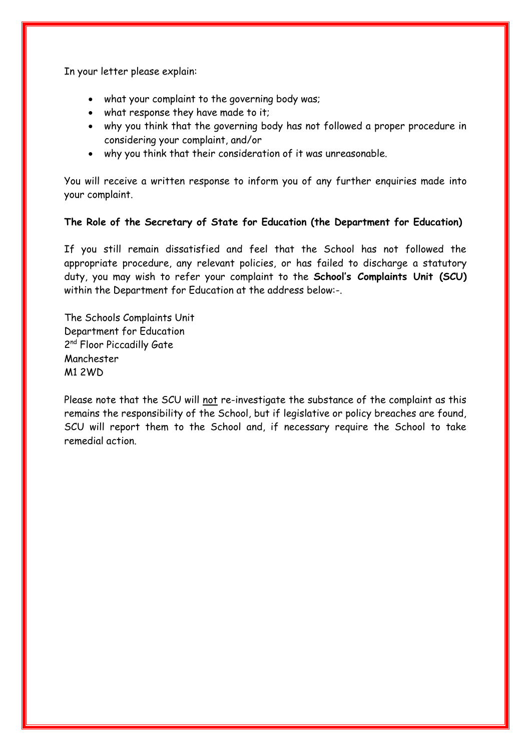In your letter please explain:

- what your complaint to the governing body was;
- what response they have made to it;
- why you think that the governing body has not followed a proper procedure in considering your complaint, and/or
- why you think that their consideration of it was unreasonable.

You will receive a written response to inform you of any further enquiries made into your complaint.

### **The Role of the Secretary of State for Education (the Department for Education)**

If you still remain dissatisfied and feel that the School has not followed the appropriate procedure, any relevant policies, or has failed to discharge a statutory duty, you may wish to refer your complaint to the **School's Complaints Unit (SCU)** within the Department for Education at the address below:-.

The Schools Complaints Unit Department for Education 2<sup>nd</sup> Floor Piccadilly Gate Manchester M1 2WD

Please note that the SCU will not re-investigate the substance of the complaint as this remains the responsibility of the School, but if legislative or policy breaches are found, SCU will report them to the School and, if necessary require the School to take remedial action.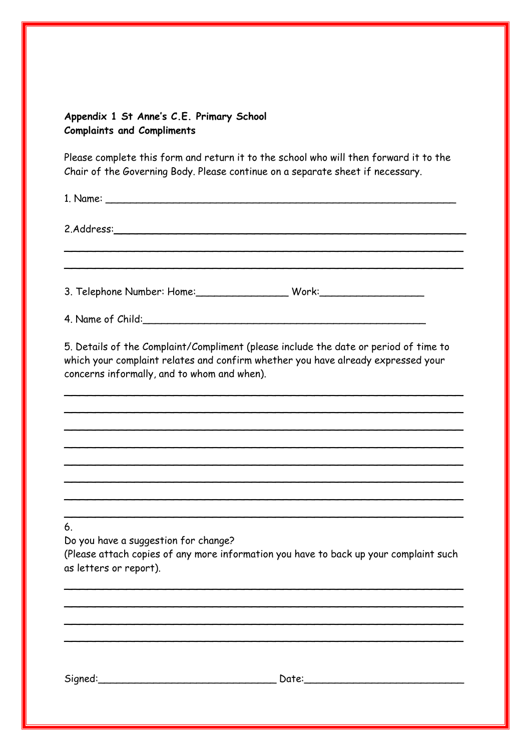## **Appendix 1 St Anne's C.E. Primary School Complaints and Compliments**

Please complete this form and return it to the school who will then forward it to the Chair of the Governing Body. Please continue on a separate sheet if necessary.

1. Name: \_\_\_\_\_\_\_\_\_\_\_\_\_\_\_\_\_\_\_\_\_\_\_\_\_\_\_\_\_\_\_\_\_\_\_\_\_\_\_\_\_\_\_\_\_\_\_\_\_\_\_\_\_\_\_\_\_

\_\_\_\_\_\_\_\_\_\_\_\_\_\_\_\_\_\_\_\_\_\_\_\_\_\_\_\_\_\_\_\_\_\_\_\_\_\_\_\_\_\_\_\_\_\_\_\_\_\_\_ \_\_\_\_\_\_\_\_\_\_\_\_\_\_\_\_\_\_\_\_\_\_\_\_\_\_\_\_\_\_\_\_\_\_\_\_\_\_\_\_\_\_\_\_\_\_\_\_\_\_\_

2. Address:

3. Telephone Number: Home: \_\_\_\_\_\_\_\_\_\_\_\_\_\_\_\_\_\_\_\_\_\_ Work: \_\_\_\_\_\_\_\_\_\_\_\_\_\_\_\_\_\_\_\_\_\_\_\_

4. Name of Child:

5. Details of the Complaint/Compliment (please include the date or period of time to which your complaint relates and confirm whether you have already expressed your concerns informally, and to whom and when).

\_\_\_\_\_\_\_\_\_\_\_\_\_\_\_\_\_\_\_\_\_\_\_\_\_\_\_\_\_\_\_\_\_\_\_\_\_\_\_\_\_\_\_\_\_\_\_\_\_\_\_ \_\_\_\_\_\_\_\_\_\_\_\_\_\_\_\_\_\_\_\_\_\_\_\_\_\_\_\_\_\_\_\_\_\_\_\_\_\_\_\_\_\_\_\_\_\_\_\_\_\_\_ \_\_\_\_\_\_\_\_\_\_\_\_\_\_\_\_\_\_\_\_\_\_\_\_\_\_\_\_\_\_\_\_\_\_\_\_\_\_\_\_\_\_\_\_\_\_\_\_\_\_\_ \_\_\_\_\_\_\_\_\_\_\_\_\_\_\_\_\_\_\_\_\_\_\_\_\_\_\_\_\_\_\_\_\_\_\_\_\_\_\_\_\_\_\_\_\_\_\_\_\_\_\_ \_\_\_\_\_\_\_\_\_\_\_\_\_\_\_\_\_\_\_\_\_\_\_\_\_\_\_\_\_\_\_\_\_\_\_\_\_\_\_\_\_\_\_\_\_\_\_\_\_\_\_ \_\_\_\_\_\_\_\_\_\_\_\_\_\_\_\_\_\_\_\_\_\_\_\_\_\_\_\_\_\_\_\_\_\_\_\_\_\_\_\_\_\_\_\_\_\_\_\_\_\_\_ \_\_\_\_\_\_\_\_\_\_\_\_\_\_\_\_\_\_\_\_\_\_\_\_\_\_\_\_\_\_\_\_\_\_\_\_\_\_\_\_\_\_\_\_\_\_\_\_\_\_\_ \_\_\_\_\_\_\_\_\_\_\_\_\_\_\_\_\_\_\_\_\_\_\_\_\_\_\_\_\_\_\_\_\_\_\_\_\_\_\_\_\_\_\_\_\_\_\_\_\_\_\_

6.

Do you have a suggestion for change?

(Please attach copies of any more information you have to back up your complaint such as letters or report).

\_\_\_\_\_\_\_\_\_\_\_\_\_\_\_\_\_\_\_\_\_\_\_\_\_\_\_\_\_\_\_\_\_\_\_\_\_\_\_\_\_\_\_\_\_\_\_\_\_\_\_ \_\_\_\_\_\_\_\_\_\_\_\_\_\_\_\_\_\_\_\_\_\_\_\_\_\_\_\_\_\_\_\_\_\_\_\_\_\_\_\_\_\_\_\_\_\_\_\_\_\_\_ \_\_\_\_\_\_\_\_\_\_\_\_\_\_\_\_\_\_\_\_\_\_\_\_\_\_\_\_\_\_\_\_\_\_\_\_\_\_\_\_\_\_\_\_\_\_\_\_\_\_\_ \_\_\_\_\_\_\_\_\_\_\_\_\_\_\_\_\_\_\_\_\_\_\_\_\_\_\_\_\_\_\_\_\_\_\_\_\_\_\_\_\_\_\_\_\_\_\_\_\_\_\_

Signed:\_\_\_\_\_\_\_\_\_\_\_\_\_\_\_\_\_\_\_\_\_\_\_\_\_\_\_\_\_ Date:\_\_\_\_\_\_\_\_\_\_\_\_\_\_\_\_\_\_\_\_\_\_\_\_\_\_